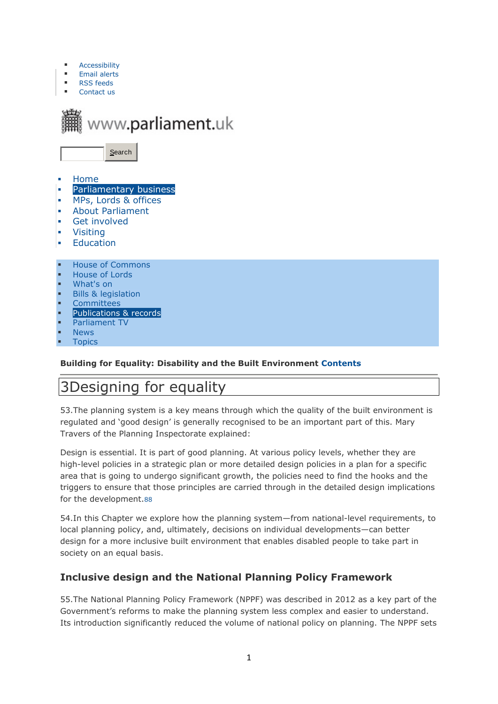- **[Accessibility](http://www.parliament.uk/site-information/accessibility/)**
- **Email [alerts](http://www.parliament.uk/site-information/email-alerts/)**
- RSS [feeds](http://www.parliament.uk/site-information/rss-feeds/) [Contact](http://www.parliament.uk/site-information/contact-us/) us



- [Home](http://www.parliament.uk/)
- [Parliamentary](http://www.parliament.uk/business/) business
- MPs, Lords & [offices](http://www.parliament.uk/mps-lords-and-offices/)
- About [Parliament](http://www.parliament.uk/about/)
- Get [involved](http://www.parliament.uk/get-involved/)
- **[Visiting](http://www.parliament.uk/visiting/)**
- **[Education](http://www.parliament.uk/education/)**
- House of [Commons](http://www.parliament.uk/business/commons/)
- [House](http://www.parliament.uk/business/lords/) of Lords
- [What's](http://calendar.parliament.uk/) on
- Bills & [legislation](http://www.parliament.uk/business/bills-and-legislation/)
- **[Committees](http://www.parliament.uk/business/committees/)**
- [Publications](http://www.parliament.uk/business/publications/) & records
- [Parliament](http://www.parliamentlive.tv/Commons) TV
- **[News](http://www.parliament.uk/business/news/)**
- **[Topics](http://www.parliament.uk/topics/topical-issues.htm)**

### **Building for Equality: Disability and the Built Environment [Contents](https://www.publications.parliament.uk/pa/cm201617/cmselect/cmwomeq/631/63102.htm)**

# 3Designing for equality

53.The planning system is a key means through which the quality of the built environment is regulated and 'good design' is generally recognised to be an important part of this. Mary Travers of the Planning Inspectorate explained:

Design is essential. It is part of good planning. At various policy levels, whether they are high-level policies in a strategic plan or more detailed design policies in a plan for a specific area that is going to undergo significant growth, the policies need to find the hooks and the triggers to ensure that those principles are carried through in the detailed design implications for the development.[88](https://www.publications.parliament.uk/pa/cm201617/cmselect/cmwomeq/631/63106.htm#footnote-200)

54.In this Chapter we explore how the planning system—from national-level requirements, to local planning policy, and, ultimately, decisions on individual developments—can better design for a more inclusive built environment that enables disabled people to take part in society on an equal basis.

# **Inclusive design and the National Planning Policy Framework**

55.The National Planning Policy Framework (NPPF) was described in 2012 as a key part of the Government's reforms to make the planning system less complex and easier to understand. Its introduction significantly reduced the volume of national policy on planning. The NPPF sets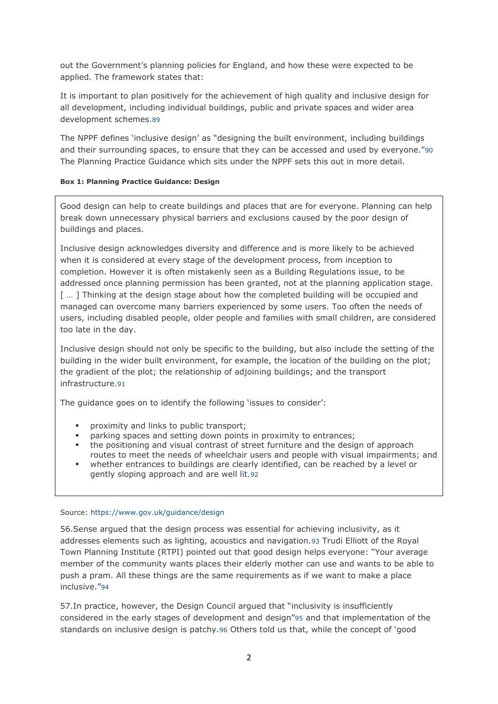out the Government's planning policies for England, and how these were expected to be applied. The framework states that:

It is important to plan positively for the achievement of high quality and inclusive design for all development, including individual buildings, public and private spaces and wider area development schemes.[89](https://www.publications.parliament.uk/pa/cm201617/cmselect/cmwomeq/631/63106.htm#footnote-199)

The NPPF defines 'inclusive design' as "designing the built environment, including buildings and their surrounding spaces, to ensure that they can be accessed and used by everyone."[90](https://www.publications.parliament.uk/pa/cm201617/cmselect/cmwomeq/631/63106.htm#footnote-198) The Planning Practice Guidance which sits under the NPPF sets this out in more detail.

### **Box 1: Planning Practice Guidance: Design**

Good design can help to create buildings and places that are for everyone. Planning can help break down unnecessary physical barriers and exclusions caused by the poor design of buildings and places.

Inclusive design acknowledges diversity and difference and is more likely to be achieved when it is considered at every stage of the development process, from inception to completion. However it is often mistakenly seen as a Building Regulations issue, to be addressed once planning permission has been granted, not at the planning application stage. [ ... ] Thinking at the design stage about how the completed building will be occupied and managed can overcome many barriers experienced by some users. Too often the needs of users, including disabled people, older people and families with small children, are considered too late in the day.

Inclusive design should not only be specific to the building, but also include the setting of the building in the wider built environment, for example, the location of the building on the plot; the gradient of the plot; the relationship of adjoining buildings; and the transport infrastructure.[91](https://www.publications.parliament.uk/pa/cm201617/cmselect/cmwomeq/631/63106.htm#footnote-197)

The guidance goes on to identify the following 'issues to consider':

- proximity and links to public transport;
- parking spaces and setting down points in proximity to entrances;
- the positioning and visual contrast of street furniture and the design of approach routes to meet the needs of wheelchair users and people with visual impairments; and
- whether entrances to buildings are clearly identified, can be reached by a level or gently sloping approach and are well lit.[92](https://www.publications.parliament.uk/pa/cm201617/cmselect/cmwomeq/631/63106.htm#footnote-196)

### Source:<https://www.gov.uk/guidance/design>

56.Sense argued that the design process was essential for achieving inclusivity, as it addresses elements such as lighting, acoustics and navigation.[93](https://www.publications.parliament.uk/pa/cm201617/cmselect/cmwomeq/631/63106.htm#footnote-195) Trudi Elliott of the Royal Town Planning Institute (RTPI) pointed out that good design helps everyone: "Your average member of the community wants places their elderly mother can use and wants to be able to push a pram. All these things are the same requirements as if we want to make a place inclusive."[94](https://www.publications.parliament.uk/pa/cm201617/cmselect/cmwomeq/631/63106.htm#footnote-194)

57.In practice, however, the Design Council argued that "inclusivity is insufficiently considered in the early stages of development and design"[95](https://www.publications.parliament.uk/pa/cm201617/cmselect/cmwomeq/631/63106.htm#footnote-193) and that implementation of the standards on inclusive design is patchy.[96](https://www.publications.parliament.uk/pa/cm201617/cmselect/cmwomeq/631/63106.htm#footnote-192) Others told us that, while the concept of 'good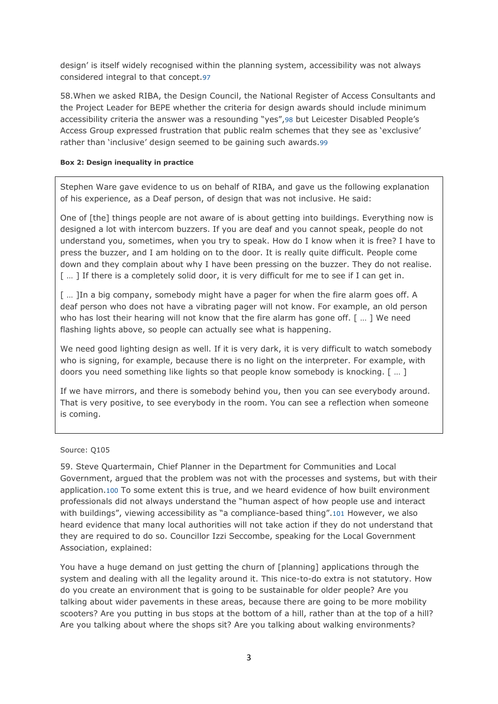design' is itself widely recognised within the planning system, accessibility was not always considered integral to that concept.[97](https://www.publications.parliament.uk/pa/cm201617/cmselect/cmwomeq/631/63106.htm#footnote-191)

58.When we asked RIBA, the Design Council, the National Register of Access Consultants and the Project Leader for BEPE whether the criteria for design awards should include minimum accessibility criteria the answer was a resounding "yes",[98](https://www.publications.parliament.uk/pa/cm201617/cmselect/cmwomeq/631/63106.htm#footnote-190) but Leicester Disabled People's Access Group expressed frustration that public realm schemes that they see as 'exclusive' rather than 'inclusive' design seemed to be gaining such awards.[99](https://www.publications.parliament.uk/pa/cm201617/cmselect/cmwomeq/631/63106.htm#footnote-189)

### **Box 2: Design inequality in practice**

Stephen Ware gave evidence to us on behalf of RIBA, and gave us the following explanation of his experience, as a Deaf person, of design that was not inclusive. He said:

One of [the] things people are not aware of is about getting into buildings. Everything now is designed a lot with intercom buzzers. If you are deaf and you cannot speak, people do not understand you, sometimes, when you try to speak. How do I know when it is free? I have to press the buzzer, and I am holding on to the door. It is really quite difficult. People come down and they complain about why I have been pressing on the buzzer. They do not realise. [ ... ] If there is a completely solid door, it is very difficult for me to see if I can get in.

[ ... ]In a big company, somebody might have a pager for when the fire alarm goes off. A deaf person who does not have a vibrating pager will not know. For example, an old person who has lost their hearing will not know that the fire alarm has gone off. [ ... ] We need flashing lights above, so people can actually see what is happening.

We need good lighting design as well. If it is very dark, it is very difficult to watch somebody who is signing, for example, because there is no light on the interpreter. For example, with doors you need something like lights so that people know somebody is knocking. [ … ]

If we have mirrors, and there is somebody behind you, then you can see everybody around. That is very positive, to see everybody in the room. You can see a reflection when someone is coming.

#### Source: Q105

59. Steve Quartermain, Chief Planner in the Department for Communities and Local Government, argued that the problem was not with the processes and systems, but with their application.[100](https://www.publications.parliament.uk/pa/cm201617/cmselect/cmwomeq/631/63106.htm#footnote-188) To some extent this is true, and we heard evidence of how built environment professionals did not always understand the "human aspect of how people use and interact with buildings", viewing accessibility as "a compliance-based thing".[101](https://www.publications.parliament.uk/pa/cm201617/cmselect/cmwomeq/631/63106.htm#footnote-187) However, we also heard evidence that many local authorities will not take action if they do not understand that they are required to do so. Councillor Izzi Seccombe, speaking for the Local Government Association, explained:

You have a huge demand on just getting the churn of [planning] applications through the system and dealing with all the legality around it. This nice-to-do extra is not statutory. How do you create an environment that is going to be sustainable for older people? Are you talking about wider pavements in these areas, because there are going to be more mobility scooters? Are you putting in bus stops at the bottom of a hill, rather than at the top of a hill? Are you talking about where the shops sit? Are you talking about walking environments?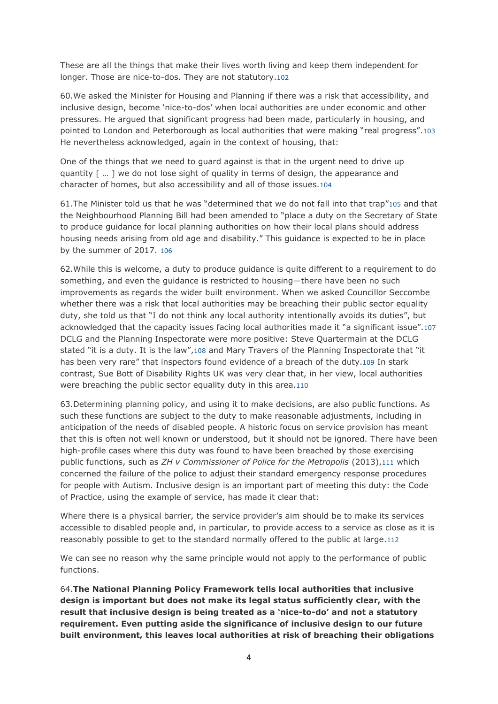These are all the things that make their lives worth living and keep them independent for longer. Those are nice-to-dos. They are not statutory.[102](https://www.publications.parliament.uk/pa/cm201617/cmselect/cmwomeq/631/63106.htm#footnote-186)

60.We asked the Minister for Housing and Planning if there was a risk that accessibility, and inclusive design, become 'nice-to-dos' when local authorities are under economic and other pressures. He argued that significant progress had been made, particularly in housing, and pointed to London and Peterborough as local authorities that were making "real progress".[103](https://www.publications.parliament.uk/pa/cm201617/cmselect/cmwomeq/631/63106.htm#footnote-185) He nevertheless acknowledged, again in the context of housing, that:

One of the things that we need to guard against is that in the urgent need to drive up quantity [ … ] we do not lose sight of quality in terms of design, the appearance and character of homes, but also accessibility and all of those issues.[104](https://www.publications.parliament.uk/pa/cm201617/cmselect/cmwomeq/631/63106.htm#footnote-184)

61.The Minister told us that he was "determined that we do not fall into that trap"[105](https://www.publications.parliament.uk/pa/cm201617/cmselect/cmwomeq/631/63106.htm#footnote-183) and that the Neighbourhood Planning Bill had been amended to "place a duty on the Secretary of State to produce guidance for local planning authorities on how their local plans should address housing needs arising from old age and disability." This guidance is expected to be in place by the summer of 2017. [106](https://www.publications.parliament.uk/pa/cm201617/cmselect/cmwomeq/631/63106.htm#footnote-182)

62.While this is welcome, a duty to produce guidance is quite different to a requirement to do something, and even the guidance is restricted to housing—there have been no such improvements as regards the wider built environment. When we asked Councillor Seccombe whether there was a risk that local authorities may be breaching their public sector equality duty, she told us that "I do not think any local authority intentionally avoids its duties", but acknowledged that the capacity issues facing local authorities made it "a significant issue".[107](https://www.publications.parliament.uk/pa/cm201617/cmselect/cmwomeq/631/63106.htm#footnote-181) DCLG and the Planning Inspectorate were more positive: Steve Quartermain at the DCLG stated "it is a duty. It is the law",[108](https://www.publications.parliament.uk/pa/cm201617/cmselect/cmwomeq/631/63106.htm#footnote-180) and Mary Travers of the Planning Inspectorate that "it has been very rare" that inspectors found evidence of a breach of the duty.[109](https://www.publications.parliament.uk/pa/cm201617/cmselect/cmwomeq/631/63106.htm#footnote-179) In stark contrast, Sue Bott of Disability Rights UK was very clear that, in her view, local authorities were breaching the public sector equality duty in this area.[110](https://www.publications.parliament.uk/pa/cm201617/cmselect/cmwomeq/631/63106.htm#footnote-178)

63.Determining planning policy, and using it to make decisions, are also public functions. As such these functions are subject to the duty to make reasonable adjustments, including in anticipation of the needs of disabled people. A historic focus on service provision has meant that this is often not well known or understood, but it should not be ignored. There have been high-profile cases where this duty was found to have been breached by those exercising public functions, such as *ZH v Commissioner of Police for the Metropolis* (2013),[111](https://www.publications.parliament.uk/pa/cm201617/cmselect/cmwomeq/631/63106.htm#footnote-177) which concerned the failure of the police to adjust their standard emergency response procedures for people with Autism. Inclusive design is an important part of meeting this duty: the Code of Practice, using the example of service, has made it clear that:

Where there is a physical barrier, the service provider's aim should be to make its services accessible to disabled people and, in particular, to provide access to a service as close as it is reasonably possible to get to the standard normally offered to the public at large.[112](https://www.publications.parliament.uk/pa/cm201617/cmselect/cmwomeq/631/63106.htm#footnote-176)

We can see no reason why the same principle would not apply to the performance of public functions.

64.**The National Planning Policy Framework tells local authorities that inclusive design is important but does not make its legal status sufficiently clear, with the result that inclusive design is being treated as a 'nice-to-do' and not a statutory requirement. Even putting aside the significance of inclusive design to our future built environment, this leaves local authorities at risk of breaching their obligations**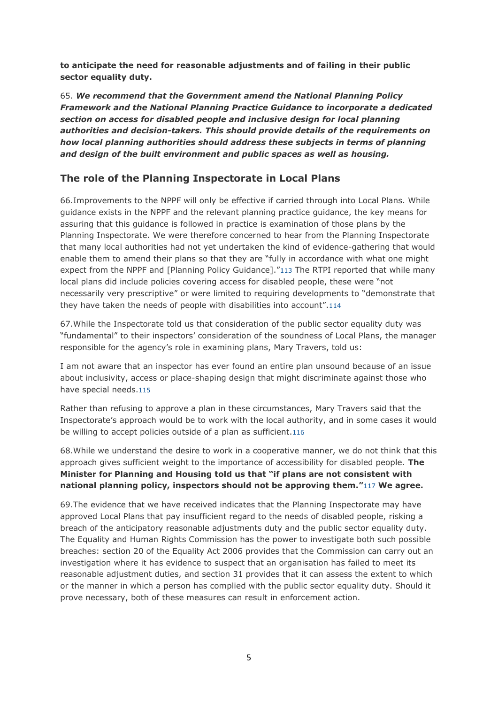**to anticipate the need for reasonable adjustments and of failing in their public sector equality duty.**

65. *We recommend that the Government amend the National Planning Policy Framework and the National Planning Practice Guidance to incorporate a dedicated section on access for disabled people and inclusive design for local planning authorities and decision-takers. This should provide details of the requirements on how local planning authorities should address these subjects in terms of planning and design of the built environment and public spaces as well as housing.*

# **The role of the Planning Inspectorate in Local Plans**

66.Improvements to the NPPF will only be effective if carried through into Local Plans. While guidance exists in the NPPF and the relevant planning practice guidance, the key means for assuring that this guidance is followed in practice is examination of those plans by the Planning Inspectorate. We were therefore concerned to hear from the Planning Inspectorate that many local authorities had not yet undertaken the kind of evidence-gathering that would enable them to amend their plans so that they are "fully in accordance with what one might expect from the NPPF and [Planning Policy Guidance]."[113](https://www.publications.parliament.uk/pa/cm201617/cmselect/cmwomeq/631/63106.htm#footnote-175) The RTPI reported that while many local plans did include policies covering access for disabled people, these were "not necessarily very prescriptive" or were limited to requiring developments to "demonstrate that they have taken the needs of people with disabilities into account".[114](https://www.publications.parliament.uk/pa/cm201617/cmselect/cmwomeq/631/63106.htm#footnote-174)

67.While the Inspectorate told us that consideration of the public sector equality duty was "fundamental" to their inspectors' consideration of the soundness of Local Plans, the manager responsible for the agency's role in examining plans, Mary Travers, told us:

I am not aware that an inspector has ever found an entire plan unsound because of an issue about inclusivity, access or place-shaping design that might discriminate against those who have special needs.[115](https://www.publications.parliament.uk/pa/cm201617/cmselect/cmwomeq/631/63106.htm#footnote-173)

Rather than refusing to approve a plan in these circumstances, Mary Travers said that the Inspectorate's approach would be to work with the local authority, and in some cases it would be willing to accept policies outside of a plan as sufficient.[116](https://www.publications.parliament.uk/pa/cm201617/cmselect/cmwomeq/631/63106.htm#footnote-172)

68.While we understand the desire to work in a cooperative manner, we do not think that this approach gives sufficient weight to the importance of accessibility for disabled people. **The Minister for Planning and Housing told us that "if plans are not consistent with national planning policy, inspectors should not be approving them."**[117](https://www.publications.parliament.uk/pa/cm201617/cmselect/cmwomeq/631/63106.htm#footnote-171) **We agree.**

69.The evidence that we have received indicates that the Planning Inspectorate may have approved Local Plans that pay insufficient regard to the needs of disabled people, risking a breach of the anticipatory reasonable adjustments duty and the public sector equality duty. The Equality and Human Rights Commission has the power to investigate both such possible breaches: section 20 of the Equality Act 2006 provides that the Commission can carry out an investigation where it has evidence to suspect that an organisation has failed to meet its reasonable adjustment duties, and section 31 provides that it can assess the extent to which or the manner in which a person has complied with the public sector equality duty. Should it prove necessary, both of these measures can result in enforcement action.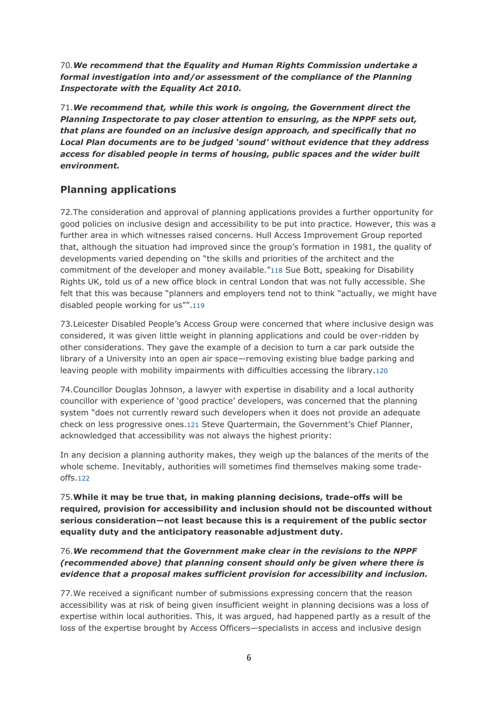70.*We recommend that the Equality and Human Rights Commission undertake a formal investigation into and/or assessment of the compliance of the Planning Inspectorate with the Equality Act 2010.*

71.*We recommend that, while this work is ongoing, the Government direct the Planning Inspectorate to pay closer attention to ensuring, as the NPPF sets out, that plans are founded on an inclusive design approach, and specifically that no Local Plan documents are to be judged 'sound' without evidence that they address access for disabled people in terms of housing, public spaces and the wider built environment.*

# **Planning applications**

72.The consideration and approval of planning applications provides a further opportunity for good policies on inclusive design and accessibility to be put into practice. However, this was a further area in which witnesses raised concerns. Hull Access Improvement Group reported that, although the situation had improved since the group's formation in 1981, the quality of developments varied depending on "the skills and priorities of the architect and the commitment of the developer and money available."[118](https://www.publications.parliament.uk/pa/cm201617/cmselect/cmwomeq/631/63106.htm#footnote-170) Sue Bott, speaking for Disability Rights UK, told us of a new office block in central London that was not fully accessible. She felt that this was because "planners and employers tend not to think "actually, we might have disabled people working for us"".[119](https://www.publications.parliament.uk/pa/cm201617/cmselect/cmwomeq/631/63106.htm#footnote-169)

73.Leicester Disabled People's Access Group were concerned that where inclusive design was considered, it was given little weight in planning applications and could be over-ridden by other considerations. They gave the example of a decision to turn a car park outside the library of a University into an open air space—removing existing blue badge parking and leaving people with mobility impairments with difficulties accessing the library.[120](https://www.publications.parliament.uk/pa/cm201617/cmselect/cmwomeq/631/63106.htm#footnote-168)

74.Councillor Douglas Johnson, a lawyer with expertise in disability and a local authority councillor with experience of 'good practice' developers, was concerned that the planning system "does not currently reward such developers when it does not provide an adequate check on less progressive ones.[121](https://www.publications.parliament.uk/pa/cm201617/cmselect/cmwomeq/631/63106.htm#footnote-167) Steve Quartermain, the Government's Chief Planner, acknowledged that accessibility was not always the highest priority:

In any decision a planning authority makes, they weigh up the balances of the merits of the whole scheme. Inevitably, authorities will sometimes find themselves making some tradeoffs.[122](https://www.publications.parliament.uk/pa/cm201617/cmselect/cmwomeq/631/63106.htm#footnote-166)

75.**While it may be true that, in making planning decisions, trade-offs will be required, provision for accessibility and inclusion should not be discounted without serious consideration—not least because this is a requirement of the public sector equality duty and the anticipatory reasonable adjustment duty.**

### 76.*We recommend that the Government make clear in the revisions to the NPPF (recommended above) that planning consent should only be given where there is evidence that a proposal makes sufficient provision for accessibility and inclusion.*

77.We received a significant number of submissions expressing concern that the reason accessibility was at risk of being given insufficient weight in planning decisions was a loss of expertise within local authorities. This, it was argued, had happened partly as a result of the loss of the expertise brought by Access Officers—specialists in access and inclusive design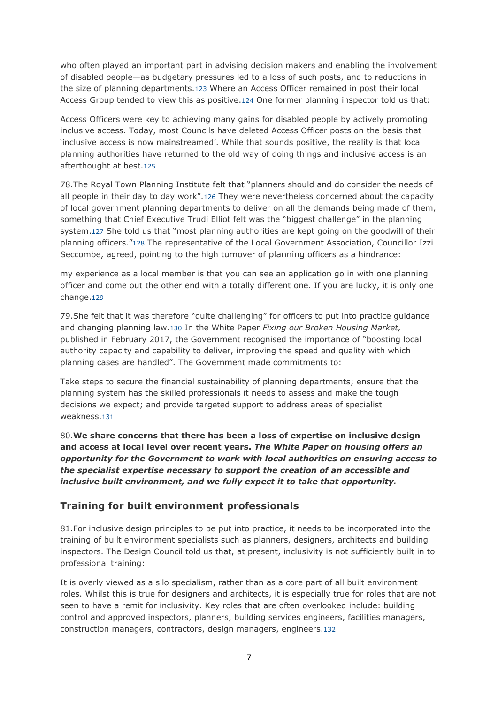who often played an important part in advising decision makers and enabling the involvement of disabled people—as budgetary pressures led to a loss of such posts, and to reductions in the size of planning departments.[123](https://www.publications.parliament.uk/pa/cm201617/cmselect/cmwomeq/631/63106.htm#footnote-165) Where an Access Officer remained in post their local Access Group tended to view this as positive.[124](https://www.publications.parliament.uk/pa/cm201617/cmselect/cmwomeq/631/63106.htm#footnote-164) One former planning inspector told us that:

Access Officers were key to achieving many gains for disabled people by actively promoting inclusive access. Today, most Councils have deleted Access Officer posts on the basis that 'inclusive access is now mainstreamed'. While that sounds positive, the reality is that local planning authorities have returned to the old way of doing things and inclusive access is an afterthought at best.[125](https://www.publications.parliament.uk/pa/cm201617/cmselect/cmwomeq/631/63106.htm#footnote-163)

78.The Royal Town Planning Institute felt that "planners should and do consider the needs of all people in their day to day work".[126](https://www.publications.parliament.uk/pa/cm201617/cmselect/cmwomeq/631/63106.htm#footnote-162) They were nevertheless concerned about the capacity of local government planning departments to deliver on all the demands being made of them, something that Chief Executive Trudi Elliot felt was the "biggest challenge" in the planning system.[127](https://www.publications.parliament.uk/pa/cm201617/cmselect/cmwomeq/631/63106.htm#footnote-161) She told us that "most planning authorities are kept going on the goodwill of their planning officers."[128](https://www.publications.parliament.uk/pa/cm201617/cmselect/cmwomeq/631/63106.htm#footnote-160) The representative of the Local Government Association, Councillor Izzi Seccombe, agreed, pointing to the high turnover of planning officers as a hindrance:

my experience as a local member is that you can see an application go in with one planning officer and come out the other end with a totally different one. If you are lucky, it is only one change.[129](https://www.publications.parliament.uk/pa/cm201617/cmselect/cmwomeq/631/63106.htm#footnote-159)

79.She felt that it was therefore "quite challenging" for officers to put into practice guidance and changing planning law.[130](https://www.publications.parliament.uk/pa/cm201617/cmselect/cmwomeq/631/63106.htm#footnote-158) In the White Paper *Fixing our Broken Housing Market,* published in February 2017, the Government recognised the importance of "boosting local authority capacity and capability to deliver, improving the speed and quality with which planning cases are handled". The Government made commitments to:

Take steps to secure the financial sustainability of planning departments; ensure that the planning system has the skilled professionals it needs to assess and make the tough decisions we expect; and provide targeted support to address areas of specialist weakness.[131](https://www.publications.parliament.uk/pa/cm201617/cmselect/cmwomeq/631/63106.htm#footnote-157)

80.**We share concerns that there has been a loss of expertise on inclusive design and access at local level over recent years.** *The White Paper on housing offers an opportunity for the Government to work with local authorities on ensuring access to the specialist expertise necessary to support the creation of an accessible and inclusive built environment, and we fully expect it to take that opportunity.*

### **Training for built environment professionals**

81.For inclusive design principles to be put into practice, it needs to be incorporated into the training of built environment specialists such as planners, designers, architects and building inspectors. The Design Council told us that, at present, inclusivity is not sufficiently built in to professional training:

It is overly viewed as a silo specialism, rather than as a core part of all built environment roles. Whilst this is true for designers and architects, it is especially true for roles that are not seen to have a remit for inclusivity. Key roles that are often overlooked include: building control and approved inspectors, planners, building services engineers, facilities managers, construction managers, contractors, design managers, engineers.[132](https://www.publications.parliament.uk/pa/cm201617/cmselect/cmwomeq/631/63106.htm#footnote-156)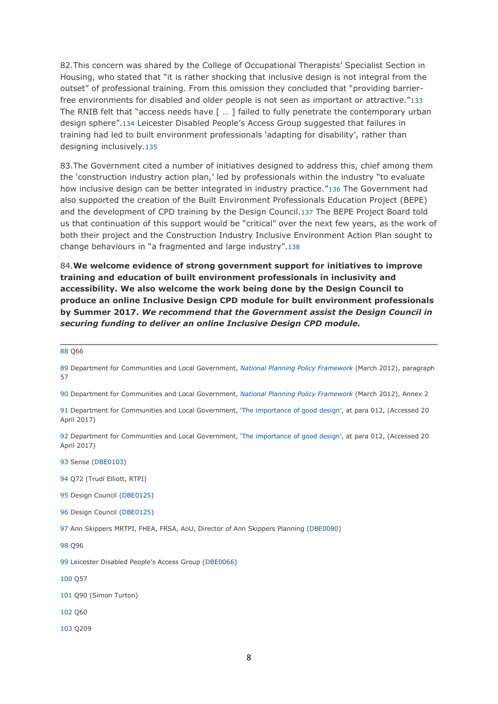82.This concern was shared by the College of Occupational Therapists' Specialist Section in Housing, who stated that "it is rather shocking that inclusive design is not integral from the outset" of professional training. From this omission they concluded that "providing barrierfree environments for disabled and older people is not seen as important or attractive."[133](https://www.publications.parliament.uk/pa/cm201617/cmselect/cmwomeq/631/63106.htm#footnote-155) The RNIB felt that "access needs have  $\lceil \ \dots \rceil$  failed to fully penetrate the contemporary urban design sphere".[134](https://www.publications.parliament.uk/pa/cm201617/cmselect/cmwomeq/631/63106.htm#footnote-154) Leicester Disabled People's Access Group suggested that failures in training had led to built environment professionals 'adapting for disability', rather than designing inclusively.[135](https://www.publications.parliament.uk/pa/cm201617/cmselect/cmwomeq/631/63106.htm#footnote-153)

83.The Government cited a number of initiatives designed to address this, chief among them the 'construction industry action plan,' led by professionals within the industry "to evaluate how inclusive design can be better integrated in industry practice."[136](https://www.publications.parliament.uk/pa/cm201617/cmselect/cmwomeq/631/63106.htm#footnote-152) The Government had also supported the creation of the Built Environment Professionals Education Project (BEPE) and the development of CPD training by the Design Council.[137](https://www.publications.parliament.uk/pa/cm201617/cmselect/cmwomeq/631/63106.htm#footnote-151) The BEPE Project Board told us that continuation of this support would be "critical" over the next few years, as the work of both their project and the Construction Industry Inclusive Environment Action Plan sought to change behaviours in "a fragmented and large industry".[138](https://www.publications.parliament.uk/pa/cm201617/cmselect/cmwomeq/631/63106.htm#footnote-150)

84.**We welcome evidence of strong government support for initiatives to improve training and education of built environment professionals in inclusivity and accessibility. We also welcome the work being done by the Design Council to produce an online Inclusive Design CPD module for built environment professionals by Summer 2017.** *We recommend that the Government assist the Design Council in securing funding to deliver an online Inclusive Design CPD module.*

[88](https://www.publications.parliament.uk/pa/cm201617/cmselect/cmwomeq/631/63106.htm#footnote-200-backlink) Q66

[89](https://www.publications.parliament.uk/pa/cm201617/cmselect/cmwomeq/631/63106.htm#footnote-199-backlink) Department for Communities and Local Government, *National Planning Policy [Framework](https://www.gov.uk/government/publications/national-planning-policy-framework--2)* (March 2012), paragraph 57

[90](https://www.publications.parliament.uk/pa/cm201617/cmselect/cmwomeq/631/63106.htm#footnote-198-backlink) Department for Communities and Local Government, *National Planning Policy [Framework](https://www.gov.uk/government/publications/national-planning-policy-framework--2)* (March 2012), Annex 2

[91](https://www.publications.parliament.uk/pa/cm201617/cmselect/cmwomeq/631/63106.htm#footnote-197-backlink) Department for Communities and Local Government, 'The [importance](http://planningguidance.communities.gov.uk/blog/guidance/design/) of good design', at para 012, (Accessed 20 April 2017)

[92](https://www.publications.parliament.uk/pa/cm201617/cmselect/cmwomeq/631/63106.htm#footnote-196-backlink) Department for Communities and Local Government, 'The [importance](http://planningguidance.communities.gov.uk/blog/guidance/design/) of good design', at para 012, (Accessed 20 April 2017)

[93](https://www.publications.parliament.uk/pa/cm201617/cmselect/cmwomeq/631/63106.htm#footnote-195-backlink) Sense [\(DBE0103\)](http://data.parliament.uk/WrittenEvidence/CommitteeEvidence.svc/EvidenceDocument/Women%20and%20Equalities/Disability%20and%20the%20built%20environment/written/40863.html)

[94](https://www.publications.parliament.uk/pa/cm201617/cmselect/cmwomeq/631/63106.htm#footnote-194-backlink) Q72 (Trudi Elliott, RTPI)

[95](https://www.publications.parliament.uk/pa/cm201617/cmselect/cmwomeq/631/63106.htm#footnote-193-backlink) Design Council [\(DBE0125\)](http://data.parliament.uk/WrittenEvidence/CommitteeEvidence.svc/EvidenceDocument/Women%20and%20Equalities/Disability%20and%20the%20built%20environment/written/40904.html)

[96](https://www.publications.parliament.uk/pa/cm201617/cmselect/cmwomeq/631/63106.htm#footnote-192-backlink) Design Council [\(DBE0125\)](http://data.parliament.uk/WrittenEvidence/CommitteeEvidence.svc/EvidenceDocument/Women%20and%20Equalities/Disability%20and%20the%20built%20environment/written/40904.html)

[97](https://www.publications.parliament.uk/pa/cm201617/cmselect/cmwomeq/631/63106.htm#footnote-191-backlink) Ann Skippers MRTPI, FHEA, FRSA, AoU, Director of Ann Skippers Planning [\(DBE0080\)](http://data.parliament.uk/WrittenEvidence/CommitteeEvidence.svc/EvidenceDocument/Women%20and%20Equalities/Disability%20and%20the%20built%20environment/written/40813.html)

[98](https://www.publications.parliament.uk/pa/cm201617/cmselect/cmwomeq/631/63106.htm#footnote-190-backlink) Q96

[99](https://www.publications.parliament.uk/pa/cm201617/cmselect/cmwomeq/631/63106.htm#footnote-189-backlink) Leicester Disabled People's Access Group ([DBE0066\)](http://data.parliament.uk/WrittenEvidence/CommitteeEvidence.svc/EvidenceDocument/Women%20and%20Equalities/Disability%20and%20the%20built%20environment/written/40737.html)

[100](https://www.publications.parliament.uk/pa/cm201617/cmselect/cmwomeq/631/63106.htm#footnote-188-backlink) Q57

[101](https://www.publications.parliament.uk/pa/cm201617/cmselect/cmwomeq/631/63106.htm#footnote-187-backlink) Q90 (Simon Turton)

[102](https://www.publications.parliament.uk/pa/cm201617/cmselect/cmwomeq/631/63106.htm#footnote-186-backlink) Q60

[103](https://www.publications.parliament.uk/pa/cm201617/cmselect/cmwomeq/631/63106.htm#footnote-185-backlink) Q209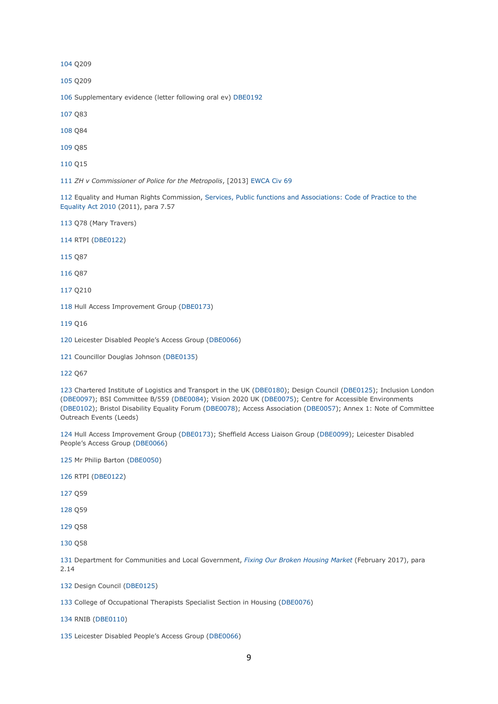Q209

Q209

Supplementary evidence (letter following oral ev) [DBE0192](http://data.parliament.uk/writtenevidence/committeeevidence.svc/evidencedocument/women-and-equalities-committee/disability-and-the-built-environment/written/48853.html)

Q83

- Q84
- Q85
- Q15

*ZH v Commissioner of Police for the Metropolis*, [2013] [EWCA](http://www.bailii.org/ew/cases/EWCA/Civ/2013/69.html) Civ 69

 Equality and Human Rights Commission, Services, Public functions and [Associations:](https://www.equalityhumanrights.com/en/publication-download/services-public-functions-and-associations-statutory-code-practice) Code of Practice to the [Equality](https://www.equalityhumanrights.com/en/publication-download/services-public-functions-and-associations-statutory-code-practice) Act 2010 (2011), para 7.57

Q78 (Mary Travers)

RTPI [\(DBE0122\)](http://data.parliament.uk/WrittenEvidence/CommitteeEvidence.svc/EvidenceDocument/Women%20and%20Equalities/Disability%20and%20the%20built%20environment/written/40899.html)

Q87

Q87

Q210

Hull Access Improvement Group [\(DBE0173\)](http://data.parliament.uk/WrittenEvidence/CommitteeEvidence.svc/EvidenceDocument/Women%20and%20Equalities/Disability%20and%20the%20built%20environment/written/42630.html)

Q16

Leicester Disabled People's Access Group ([DBE0066\)](http://data.parliament.uk/writtenevidence/committeeevidence.svc/evidencedocument/women-and-equalities-committee/disability-and-the-built-environment/written/40737.html)

Councillor Douglas Johnson [\(DBE0135\)](http://data.parliament.uk/WrittenEvidence/CommitteeEvidence.svc/EvidenceDocument/Women%20and%20Equalities/Disability%20and%20the%20built%20environment/written/40929.html)

Q67

 Chartered Institute of Logistics and Transport in the UK [\(DBE0180\)](http://data.parliament.uk/WrittenEvidence/CommitteeEvidence.svc/EvidenceDocument/Women%20and%20Equalities/Disability%20and%20the%20built%20environment/written/42645.html); Design Council [\(DBE0125\)](http://data.parliament.uk/WrittenEvidence/CommitteeEvidence.svc/EvidenceDocument/Women%20and%20Equalities/Disability%20and%20the%20built%20environment/written/40904.html); Inclusion London [\(DBE0097\)](http://data.parliament.uk/WrittenEvidence/CommitteeEvidence.svc/EvidenceDocument/Women%20and%20Equalities/Disability%20and%20the%20built%20environment/written/40852.html); BSI Committee B/559 [\(DBE0084\)](http://data.parliament.uk/WrittenEvidence/CommitteeEvidence.svc/EvidenceDocument/Women%20and%20Equalities/Disability%20and%20the%20built%20environment/written/40818.html); Vision 2020 UK [\(DBE0075\)](http://data.parliament.uk/WrittenEvidence/CommitteeEvidence.svc/EvidenceDocument/Women%20and%20Equalities/Disability%20and%20the%20built%20environment/written/40791.html); Centre for Accessible Environments [\(DBE0102\)](http://data.parliament.uk/WrittenEvidence/CommitteeEvidence.svc/EvidenceDocument/Women%20and%20Equalities/Disability%20and%20the%20built%20environment/written/40860.html); Bristol Disability Equality Forum [\(DBE0078\)](http://data.parliament.uk/WrittenEvidence/CommitteeEvidence.svc/EvidenceDocument/Women%20and%20Equalities/Disability%20and%20the%20built%20environment/written/40809.html); Access Association [\(DBE0057\)](http://data.parliament.uk/WrittenEvidence/CommitteeEvidence.svc/EvidenceDocument/Women%20and%20Equalities/Disability%20and%20the%20built%20environment/written/40603.html); Annex 1: Note of Committee Outreach Events (Leeds)

 Hull Access Improvement Group [\(DBE0173\)](http://data.parliament.uk/WrittenEvidence/CommitteeEvidence.svc/EvidenceDocument/Women%20and%20Equalities/Disability%20and%20the%20built%20environment/written/42630.html); Sheffield Access Liaison Group [\(DBE0099\)](http://data.parliament.uk/WrittenEvidence/CommitteeEvidence.svc/EvidenceDocument/Women%20and%20Equalities/Disability%20and%20the%20built%20environment/written/40857.html); Leicester Disabled People's Access Group ([DBE0066\)](http://data.parliament.uk/WrittenEvidence/CommitteeEvidence.svc/EvidenceDocument/Women%20and%20Equalities/Disability%20and%20the%20built%20environment/written/40737.html)

Mr Philip Barton [\(DBE0050\)](http://data.parliament.uk/WrittenEvidence/CommitteeEvidence.svc/EvidenceDocument/Women%20and%20Equalities/Disability%20and%20the%20built%20environment/written/40562.html)

RTPI [\(DBE0122\)](http://data.parliament.uk/WrittenEvidence/CommitteeEvidence.svc/EvidenceDocument/Women%20and%20Equalities/Disability%20and%20the%20built%20environment/written/40899.html)

Q59

Q59

Q58

Q58

 Department for Communities and Local Government, *Fixing Our Broken [Housing](https://www.gov.uk/government/uploads/system/uploads/attachment_data/file/590464/Fixing_our_broken_housing_market_-_print_ready_version.pdf) Market* (February 2017), para 2.14

Design Council [\(DBE0125\)](http://data.parliament.uk/WrittenEvidence/CommitteeEvidence.svc/EvidenceDocument/Women%20and%20Equalities/Disability%20and%20the%20built%20environment/written/40904.html)

College of Occupational Therapists Specialist Section in Housing [\(DBE0076\)](http://data.parliament.uk/WrittenEvidence/CommitteeEvidence.svc/EvidenceDocument/Women%20and%20Equalities/Disability%20and%20the%20built%20environment/written/40801.html)

RNIB [\(DBE0110\)](http://data.parliament.uk/WrittenEvidence/CommitteeEvidence.svc/EvidenceDocument/Women%20and%20Equalities/Disability%20and%20the%20built%20environment/written/40877.html)

Leicester Disabled People's Access Group ([DBE0066\)](http://data.parliament.uk/WrittenEvidence/CommitteeEvidence.svc/EvidenceDocument/Women%20and%20Equalities/Disability%20and%20the%20built%20environment/written/40737.html)